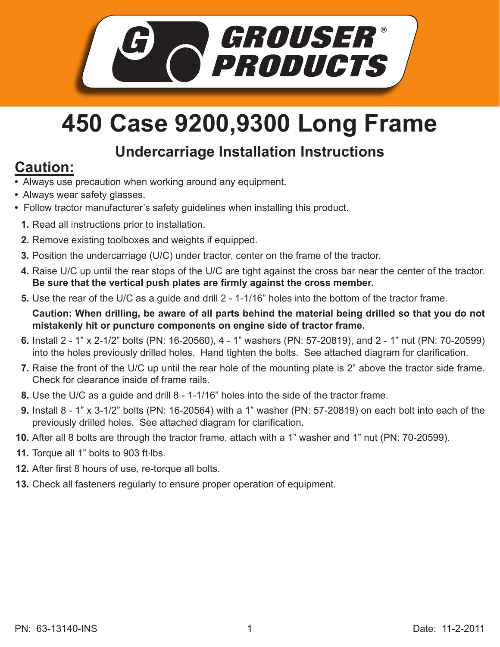

## **450 Case 9200,9300 Long Frame**

## **Undercarriage Installation Instructions**

## **Caution:**

- Always use precaution when working around any equipment.
- Always wear safety glasses.
- Follow tractor manufacturer's safety guidelines when installing this product.
	- **1.** Read all instructions prior to installation.
	- **2.** Remove existing toolboxes and weights if equipped.
	- **3.** Position the undercarriage (U/C) under tractor, center on the frame of the tractor.
	- **4.** Raise U/C up until the rear stops of the U/C are tight against the cross bar near the center of the tractor. **Be sure that the vertical push plates are firmly against the cross member.**
	- **5.** Use the rear of the U/C as a guide and drill 2 1-1/16" holes into the bottom of the tractor frame.

**Caution: When drilling, be aware of all parts behind the material being drilled so that you do not mistakenly hit or puncture components on engine side of tractor frame.**

- Install 2 1" x 2-1/2" bolts (PN: 16-20560), 4 1" washers (PN: 57-20819), and 2 1" nut (PN: 70-20599) **6.** into the holes previously drilled holes. Hand tighten the bolts. See attached diagram for clarification.
- **7.** Raise the front of the U/C up until the rear hole of the mounting plate is 2" above the tractor side frame. Check for clearance inside of frame rails.
- Use the U/C as a guide and drill 8 1-1/16" holes into the side of the tractor frame. **8.**
- Install 8 1" x 3-1/2" bolts (PN: 16-20564) with a 1" washer (PN: 57-20819) on each bolt into each of the **9.** previously drilled holes. See attached diagram for clarification.
- **10.** After all 8 bolts are through the tractor frame, attach with a 1" washer and 1" nut (PN: 70-20599).
- 11. Torque all 1" bolts to 903 ft·lbs.
- **12.** After first 8 hours of use, re-torque all bolts.
- **13.** Check all fasteners regularly to ensure proper operation of equipment.